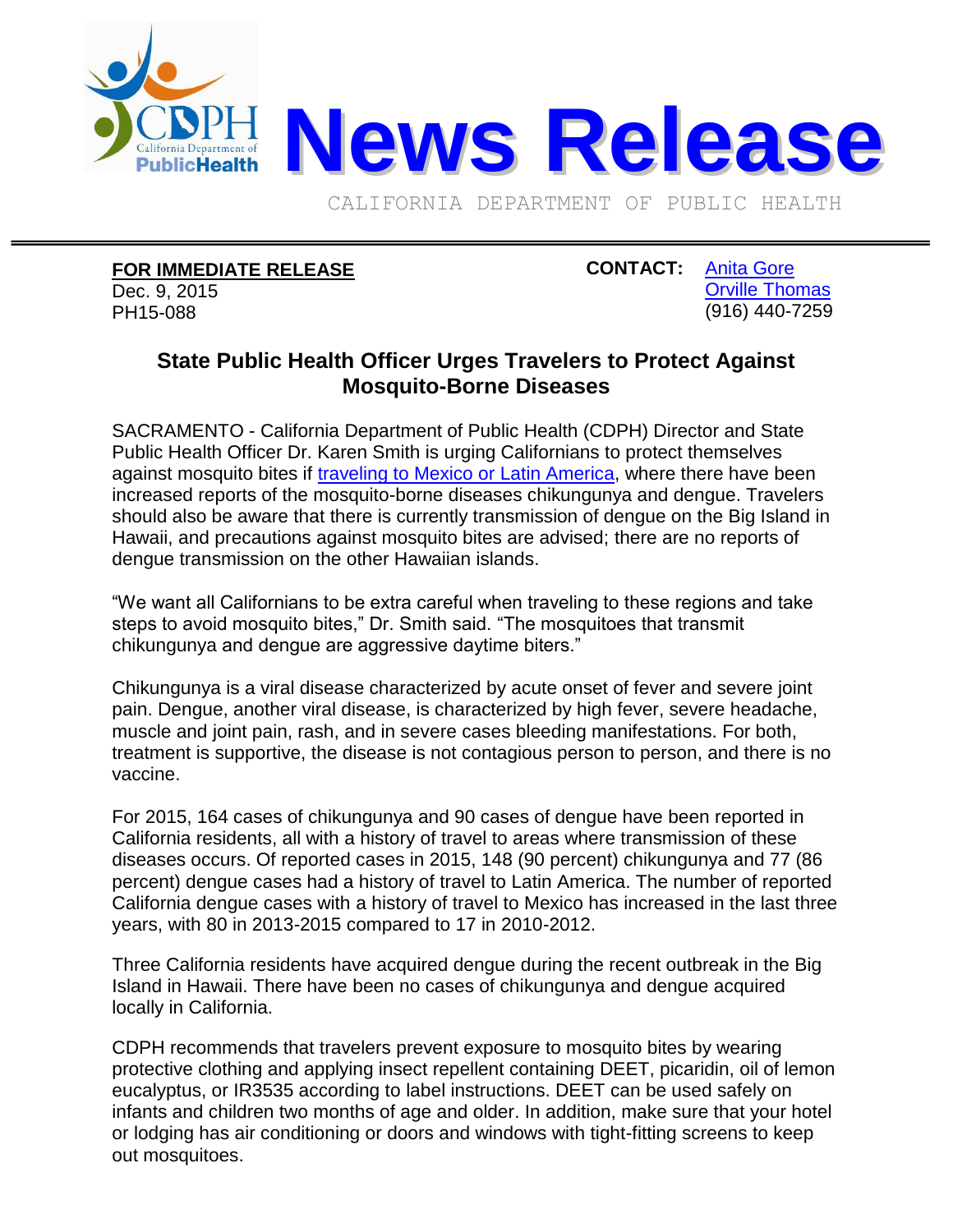

CALIFORNIA DEPARTMENT OF PUBLIC HEALTH

## **FOR IMMEDIATE RELEASE**

Dec. 9, 2015 PH15-088

**CONTACT:** [Anita Gore](mailto:Anita.Gore@cdph.ca.gov?subject=CDPH%20news%20release) [Orville Thomas](mailto:Orville.Thomas@cdph.ca.gov?subject=CDPH%20news%20release) (916) 440-7259

## **State Public Health Officer Urges Travelers to Protect Against Mosquito-Borne Diseases**

SACRAMENTO - California Department of Public Health (CDPH) Director and State Public Health Officer Dr. Karen Smith is urging Californians to protect themselves against mosquito bites if [traveling to Mexico or Latin America,](http://www.cdph.ca.gov/Documents/Travel%20advisory%20Dec%209%202015.pdf) where there have been increased reports of the mosquito-borne diseases chikungunya and dengue. Travelers should also be aware that there is currently transmission of dengue on the Big Island in Hawaii, and precautions against mosquito bites are advised; there are no reports of dengue transmission on the other Hawaiian islands.

"We want all Californians to be extra careful when traveling to these regions and take steps to avoid mosquito bites," Dr. Smith said. "The mosquitoes that transmit chikungunya and dengue are aggressive daytime biters."

Chikungunya is a viral disease characterized by acute onset of fever and severe joint pain. Dengue, another viral disease, is characterized by high fever, severe headache, muscle and joint pain, rash, and in severe cases bleeding manifestations. For both, treatment is supportive, the disease is not contagious person to person, and there is no vaccine.

For 2015, 164 cases of chikungunya and 90 cases of dengue have been reported in California residents, all with a history of travel to areas where transmission of these diseases occurs. Of reported cases in 2015, 148 (90 percent) chikungunya and 77 (86 percent) dengue cases had a history of travel to Latin America. The number of reported California dengue cases with a history of travel to Mexico has increased in the last three years, with 80 in 2013-2015 compared to 17 in 2010-2012.

Three California residents have acquired dengue during the recent outbreak in the Big Island in Hawaii. There have been no cases of chikungunya and dengue acquired locally in California.

CDPH recommends that travelers prevent exposure to mosquito bites by wearing protective clothing and applying insect repellent containing DEET, picaridin, oil of lemon eucalyptus, or IR3535 according to label instructions. DEET can be used safely on infants and children two months of age and older. In addition, make sure that your hotel or lodging has air conditioning or doors and windows with tight-fitting screens to keep out mosquitoes.